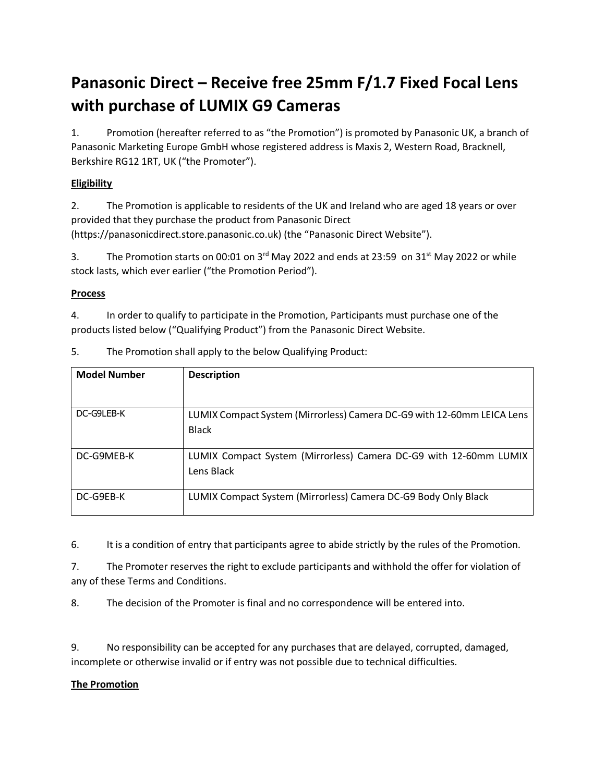# **Panasonic Direct – Receive free 25mm F/1.7 Fixed Focal Lens with purchase of LUMIX G9 Cameras**

1. Promotion (hereafter referred to as "the Promotion") is promoted by Panasonic UK, a branch of Panasonic Marketing Europe GmbH whose registered address is Maxis 2, Western Road, Bracknell, Berkshire RG12 1RT, UK ("the Promoter").

## **Eligibility**

2. The Promotion is applicable to residents of the UK and Ireland who are aged 18 years or over provided that they purchase the product from Panasonic Direct (https://panasonicdirect.store.panasonic.co.uk) (the "Panasonic Direct Website").

3. The Promotion starts on 00:01 on  $3^{rd}$  May 2022 and ends at 23:59 on 31<sup>st</sup> May 2022 or while stock lasts, which ever earlier ("the Promotion Period").

### **Process**

4. In order to qualify to participate in the Promotion, Participants must purchase one of the products listed below ("Qualifying Product") from the Panasonic Direct Website.

| <b>Model Number</b> | <b>Description</b>                                                     |
|---------------------|------------------------------------------------------------------------|
|                     |                                                                        |
| DC-G9LEB-K          | LUMIX Compact System (Mirrorless) Camera DC-G9 with 12-60mm LEICA Lens |
|                     | <b>Black</b>                                                           |
| DC-G9MEB-K          | LUMIX Compact System (Mirrorless) Camera DC-G9 with 12-60mm LUMIX      |
|                     | Lens Black                                                             |
| DC-G9EB-K           | LUMIX Compact System (Mirrorless) Camera DC-G9 Body Only Black         |

5. The Promotion shall apply to the below Qualifying Product:

6. It is a condition of entry that participants agree to abide strictly by the rules of the Promotion.

7. The Promoter reserves the right to exclude participants and withhold the offer for violation of any of these Terms and Conditions.

8. The decision of the Promoter is final and no correspondence will be entered into.

9. No responsibility can be accepted for any purchases that are delayed, corrupted, damaged, incomplete or otherwise invalid or if entry was not possible due to technical difficulties.

#### **The Promotion**